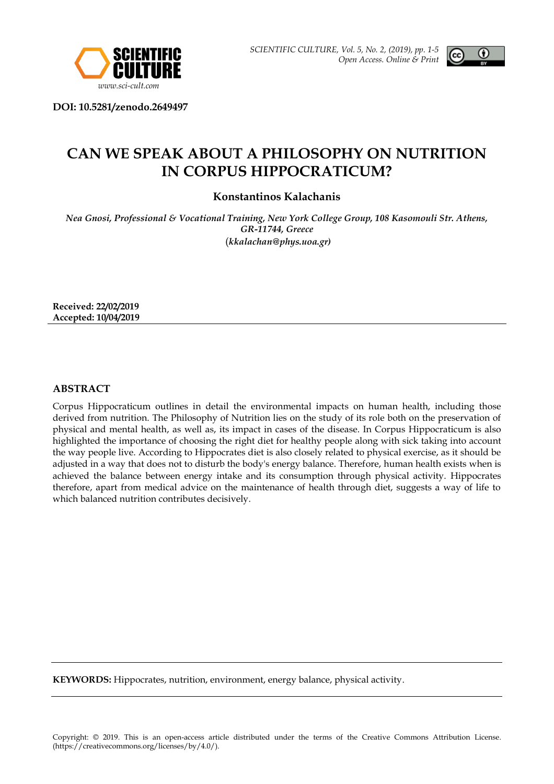



**DOI: 10.5281/zenodo.2649497**

# **CAN WE SPEAK ABOUT A PHILOSOPHY ON NUTRITION IN CORPUS HIPPOCRATICUM?**

**Konstantinos Kalachanis**

*Nea Gnosi, Professional & Vocational Training, New York College Group, 108 Kasomouli Str. Athens, GR-11744, Greece* (*kkalachan@phys.uoa.gr)*

**Received: 22/02/2019 Accepted: 10/04/2019**

## **ABSTRACT**

Corpus Hippocraticum outlines in detail the environmental impacts on human health, including those derived from nutrition. The Philosophy of Nutrition lies οn the study of its role both on the preservation of physical and mental health, as well as, its impact in cases of the disease. In Corpus Hippocraticum is also highlighted the importance of choosing the right diet for healthy people along with sick taking into account the way people live. According to Hippocrates diet is also closely related to physical exercise, as it should be adjusted in a way that does not to disturb the body's energy balance. Therefore, human health exists when is achieved the balance between energy intake and its consumption through physical activity. Hippocrates therefore, apart from medical advice on the maintenance of health through diet, suggests a way of life to which balanced nutrition contributes decisively.

**KEYWORDS:** Hippocrates, nutrition, environment, energy balance, physical activity.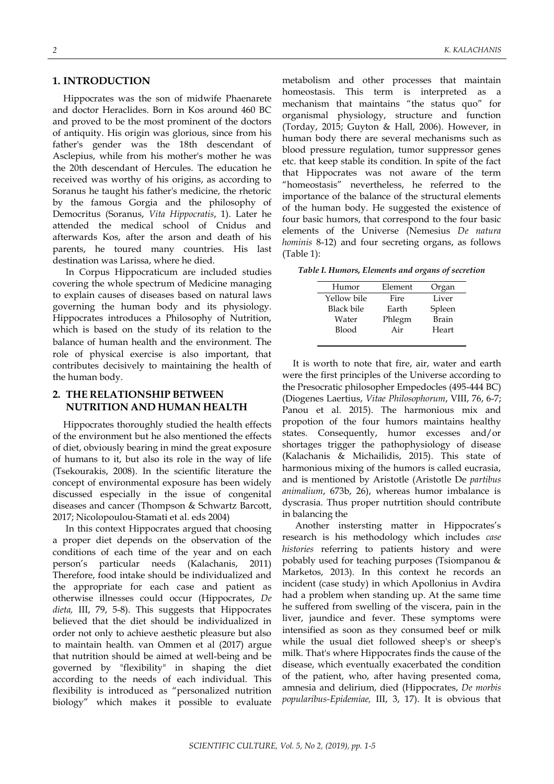### **1. INTRODUCTION**

Hippocrates was the son of midwife Phaenarete and doctor Heraclides. Born in Kos around 460 BC and proved to be the most prominent of the doctors of antiquity. His origin was glorious, since from his father's gender was the 18th descendant of Asclepius, while from his mother's mother he was the 20th descendant of Hercules. The education he received was worthy of his origins, as according to Soranus he taught his father's medicine, the rhetoric by the famous Gorgia and the philosophy of Democritus (Soranus, *Vita Hippocratis*, 1). Later he attended the medical school of Cnidus and afterwards Kos, after the arson and death of his parents, he toured many countries. His last destination was Larissa, where he died.

In Corpus Hippocraticum are included studies covering the whole spectrum of Medicine managing to explain causes of diseases based on natural laws governing the human body and its physiology. Hippocrates introduces a Philosophy of Nutrition, which is based on the study of its relation to the balance of human health and the environment. The role of physical exercise is also important, that contributes decisively to maintaining the health of the human body.

## **2. THE RELATIONSHIP BETWEEN NUTRITION AND HUMAN HEALTH**

Hippocrates thoroughly studied the health effects of the environment but he also mentioned the effects of diet, obviously bearing in mind the great exposure of humans to it, but also its role in the way of life (Tsekourakis, 2008). In the scientific literature the concept of environmental exposure has been widely discussed especially in the issue of congenital diseases and cancer (Thompson & Schwartz Barcott, 2017; Nicolopoulou-Stamati et al. eds 2004)

In this context Hippocrates argued that choosing a proper diet depends on the observation of the conditions of each time of the year and on each person's particular needs (Kalachanis, 2011) Therefore, food intake should be individualized and the appropriate for each case and patient as otherwise illnesses could occur (Hippocrates, *De dieta,* III, 79, 5-8). This suggests that Hippocrates believed that the diet should be individualized in order not only to achieve aesthetic pleasure but also to maintain health. van Ommen et al (2017) argue that nutrition should be aimed at well-being and be governed by "flexibility" in shaping the diet according to the needs of each individual. This flexibility is introduced as "personalized nutrition biology" which makes it possible to evaluate

metabolism and other processes that maintain homeostasis. This term is interpreted as a mechanism that maintains "the status quo" for organismal physiology, structure and function (Torday, 2015; Guyton & Hall, 2006). However, in human body there are several mechanisms such as blood pressure regulation, tumor suppressor genes etc. that keep stable its condition. In spite of the fact that Hippocrates was not aware of the term "homeostasis" nevertheless, he referred to the importance of the balance of the structural elements of the human body. He suggested the existence of four basic humors, that correspond to the four basic elements of the Universe (Nemesius *De natura hominis* 8-12) and four secreting organs, as follows (Table 1):

*Table I. Humors, Elements and organs of secretion*

| Humor       | Element | Organ  |
|-------------|---------|--------|
| Yellow bile | Fire    | Liver  |
| Black bile  | Earth   | Spleen |
| Water       | Phlegm  | Brain  |
| Blood       | Air     | Heart  |
|             |         |        |

It is worth to note that fire, air, water and earth were the first principles of the Universe according to the Presocratic philosopher Empedocles (495-444 BC) (Diogenes Laertius, *Vitae Philosophorum*, VIII, 76, 6-7; Panou et al. 2015). The harmonious mix and propotion of the four humors maintains healthy states. Consequently, humor excesses and/or shortages trigger the pathophysiology of disease (Kalachanis & Michailidis, 2015). This state of harmonious mixing of the humors is called eucrasia, and is mentioned by Aristotle (Aristotle De *partibus animalium*, 673b, 26), whereas humor imbalance is dyscrasia. Thus proper nutrtition should contribute in balancing the

Another instersting matter in Hippocrates's research is his methodology which includes *case histories* referring to patients history and were pobably used for teaching purposes (Tsiompanou & Marketos, 2013). In this context he records an incident (case study) in which Apollonius in Avdira had a problem when standing up. At the same time he suffered from swelling of the viscera, pain in the liver, jaundice and fever. These symptoms were intensified as soon as they consumed beef or milk while the usual diet followed sheep's or sheep's milk. That's where Hippocrates finds the cause of the disease, which eventually exacerbated the condition of the patient, who, after having presented coma, amnesia and delirium, died (Hippocrates, *De morbis popularibus-Epidemiae,* III, 3, 17). It is obvious that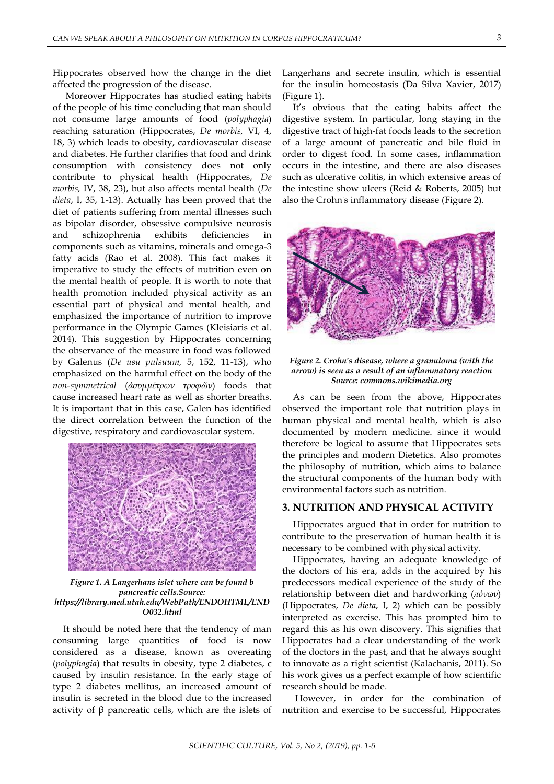Hippocrates observed how the change in the diet affected the progression of the disease.

Moreover Hippocrates has studied eating habits of the people of his time concluding that man should not consume large amounts of food (*polyphagia*) reaching saturation (Hippocrates, *De morbis,* VI, 4, 18, 3) which leads to obesity, cardiovascular disease and diabetes. He further clarifies that food and drink consumption with consistency does not only contribute to physical health (Hippocrates, *De morbis,* IV, 38, 23), but also affects mental health (*De dieta*, I, 35, 1-13). Actually has been proved that the diet of patients suffering from mental illnesses such as bipolar disorder, obsessive compulsive neurosis and schizophrenia exhibits deficiencies in components such as vitamins, minerals and omega-3 fatty acids (Rao et al. 2008). This fact makes it imperative to study the effects of nutrition even on the mental health of people. It is worth to note that health promotion included physical activity as an essential part of physical and mental health, and emphasized the importance of nutrition to improve performance in the Olympic Games (Kleisiaris et al. 2014). This suggestion by Hippocrates concerning the observance of the measure in food was followed by Galenus (*De usu pulsuum,* 5, 152, 11-13), who emphasized on the harmful effect on the body of the *non-symmetrical* (*ἀσυμμέτρων τροφῶν*) foods that cause increased heart rate as well as shorter breaths. It is important that in this case, Galen has identified the direct correlation between the function of the digestive, respiratory and cardiovascular system.



*Figure 1. A Langerhans islet where can be found b pancreatic cells.Source: https://library.med.utah.edu/WebPath/ENDOHTML/END O032.html*

It should be noted here that the tendency of man consuming large quantities of food is now considered as a disease, known as overeating (*polyphagia*) that results in obesity, type 2 diabetes, c caused by insulin resistance. In the early stage of type 2 diabetes mellitus, an increased amount of insulin is secreted in the blood due to the increased activity of β pancreatic cells, which are the islets of Langerhans and secrete insulin, which is essential for the insulin homeostasis (Da Silva Xavier, 2017) (Figure 1).

It's obvious that the eating habits affect the digestive system. In particular, long staying in the digestive tract of high-fat foods leads to the secretion of a large amount of pancreatic and bile fluid in order to digest food. In some cases, inflammation occurs in the intestine, and there are also diseases such as ulcerative colitis, in which extensive areas of the intestine show ulcers (Reid & Roberts, 2005) but also the Crohn's inflammatory disease (Figure 2).



*Figure 2. Crohn's disease, where a granuloma (with the arrow) is seen as a result of an inflammatory reaction Source: commons.wikimedia.org*

As can be seen from the above, Hippocrates observed the important role that nutrition plays in human physical and mental health, which is also documented by modern medicine. since it would therefore be logical to assume that Hippocrates sets the principles and modern Dietetics. Αlso promotes the philosophy of nutrition, which aims to balance the structural components of the human body with environmental factors such as nutrition.

#### **3. NUTRITION AND PHYSICAL ACTIVITY**

Hippocrates argued that in order for nutrition to contribute to the preservation of human health it is necessary to be combined with physical activity.

Hippocrates, having an adequate knowledge of the doctors of his era, adds in the acquired by his predecessors medical experience of the study of the relationship between diet and hardworking (*πόνων*) (Hippocrates, *De dieta*, I, 2) which can be possibly interpreted as exercise. This has prompted him to regard this as his own discovery. This signifies that Hippocrates had a clear understanding of the work of the doctors in the past, and that he always sought to innovate as a right scientist (Kalachanis, 2011). So his work gives us a perfect example of how scientific research should be made.

However, in order for the combination of nutrition and exercise to be successful, Hippocrates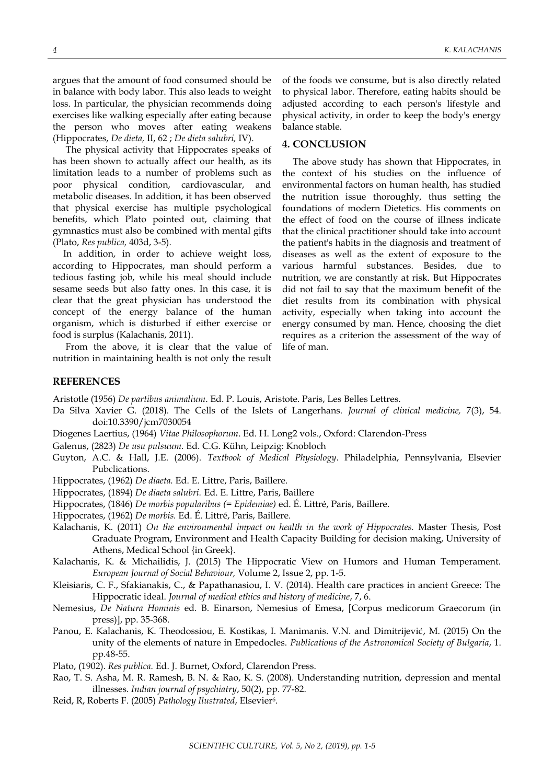argues that the amount of food consumed should be in balance with body labor. This also leads to weight loss. In particular, the physician recommends doing exercises like walking especially after eating because the person who moves after eating weakens (Hippocrates, *De dieta,* II, 62 ; *De dieta salubri,* IV).

The physical activity that Hippocrates speaks of has been shown to actually affect our health, as its limitation leads to a number of problems such as poor physical condition, cardiovascular, and metabolic diseases. In addition, it has been observed that physical exercise has multiple psychological benefits, which Plato pointed out, claiming that gymnastics must also be combined with mental gifts (Plato, *Res publica,* 403d, 3-5).

In addition, in order to achieve weight loss, according to Hippocrates, man should perform a tedious fasting job, while his meal should include sesame seeds but also fatty ones. In this case, it is clear that the great physician has understood the concept of the energy balance of the human organism, which is disturbed if either exercise or food is surplus (Kalachanis, 2011).

From the above, it is clear that the value of nutrition in maintaining health is not only the result of the foods we consume, but is also directly related to physical labor. Therefore, eating habits should be adjusted according to each person's lifestyle and physical activity, in order to keep the body's energy balance stable.

#### **4. CONCLUSION**

The above study has shown that Hippocrates, in the context of his studies on the influence of environmental factors on human health, has studied the nutrition issue thoroughly, thus setting the foundations of modern Dietetics. His comments on the effect of food on the course of illness indicate that the clinical practitioner should take into account the patient's habits in the diagnosis and treatment of diseases as well as the extent of exposure to the various harmful substances. Besides, due to nutrition, we are constantly at risk. But Hippocrates did not fail to say that the maximum benefit of the diet results from its combination with physical activity, especially when taking into account the energy consumed by man. Hence, choosing the diet requires as a criterion the assessment of the way of life of man.

## **REFERENCES**

Aristotle (1956) *De partibus animalium*. Ed. P. Louis, Aristote. Paris, Les Belles Lettres.

- Da Silva Xavier G. (2018). The Cells of the Islets of Langerhans. *Journal of clinical medicine,* 7(3), 54. doi:10.3390/jcm7030054
- Diogenes Laertius, (1964) *Vitae Philosophorum*. Ed. H. Long2 vols., Oxford: Clarendon-Press
- Galenus, (2823) *De usu pulsuum.* Ed. C.G. Kühn, Leipzig: Knobloch
- Guyton, A.C. & Hall, J.E. (2006). *Textbook of Medical Physiology.* Philadelphia, Pennsylvania, Elsevier Pubclications.
- Hippocrates, (1962) *De diαeta.* Ed. E. Littre, Paris, Baillere.
- Hippocrates, (1894) *De diαeta salubri.* Ed. E. Littre, Paris, Baillere
- Hippocrates, (1846) *De morbis popularibus (= Epidemiae)* ed. É. Littré, Paris, Baillere.
- Hippocrates, (1962) *De morbis.* Ed. É. Littré, Paris, Baillere.
- Kalachanis, K. (2011) *On the environmental impact on health in the work of Hippocrates.* Master Thesis, Post Graduate Program, Environment and Health Capacity Building for decision making, University of Athens, Medical School {in Greek}.
- Kalachanis, K. & Michailidis, J. (2015) The Hippocratic View on Humors and Human Temperament. *European Journal of Social Behaviour,* Volume 2, Issue 2, pp. 1-5.
- Kleisiaris, C. F., Sfakianakis, C., & Papathanasiou, I. V. (2014). Health care practices in ancient Greece: The Hippocratic ideal. *Journal of medical ethics and history of medicine*, 7, 6.
- Nemesius, *De Natura Hominis* ed. B. Einarson, Nemesius of Emesa, [Corpus medicorum Graecorum (in press)], pp. 35-368.
- Panou, E. Kalachanis, K. Theodossiou, E. Kostikas, I. Manimanis. V.N. and Dimitrijević, M. (2015) On the unity of the elements of nature in Empedocles. *Publications of the Astronomical Society of Bulgaria*, 1. pp.48-55.
- Plato, (1902). *Res publica.* Ed. J. Burnet, Oxford, Clarendon Press.
- Rao, T. S. Asha, M. R. Ramesh, B. N. & Rao, K. S. (2008). Understanding nutrition, depression and mental illnesses. *Indian journal of psychiatry*, 50(2), pp. 77-82.
- Reid, R, Roberts F. (2005) *Pathology Ilustrated*, Elsevier<sup>6</sup> .